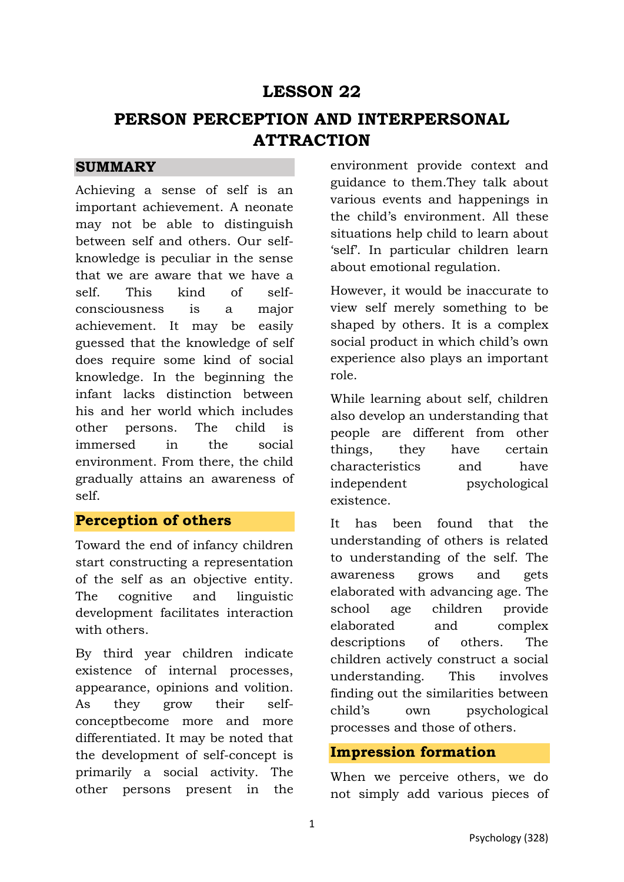## **LESSON 22**

# **PERSON PERCEPTION AND INTERPERSONAL ATTRACTION**

### **SUMMARY**

Achieving a sense of self is an important achievement. A neonate may not be able to distinguish between self and others. Our selfknowledge is peculiar in the sense that we are aware that we have a self. This kind of selfconsciousness is a major achievement. It may be easily guessed that the knowledge of self does require some kind of social knowledge. In the beginning the infant lacks distinction between his and her world which includes other persons. The child is immersed in the social environment. From there, the child gradually attains an awareness of self.

#### **Perception of others**

Toward the end of infancy children start constructing a representation of the self as an objective entity. The cognitive and linguistic development facilitates interaction with others.

By third year children indicate existence of internal processes, appearance, opinions and volition. As they grow their selfconceptbecome more and more differentiated. It may be noted that the development of self-concept is primarily a social activity. The other persons present in the environment provide context and guidance to them.They talk about various events and happenings in the child's environment. All these situations help child to learn about 'self'. In particular children learn about emotional regulation.

However, it would be inaccurate to view self merely something to be shaped by others. It is a complex social product in which child's own experience also plays an important role.

While learning about self, children also develop an understanding that people are different from other things, they have certain characteristics and have independent psychological existence.

It has been found that the understanding of others is related to understanding of the self. The awareness grows and gets elaborated with advancing age. The school age children provide elaborated and complex descriptions of others. The children actively construct a social understanding. This involves finding out the similarities between child's own psychological processes and those of others.

#### **Impression formation**

When we perceive others, we do not simply add various pieces of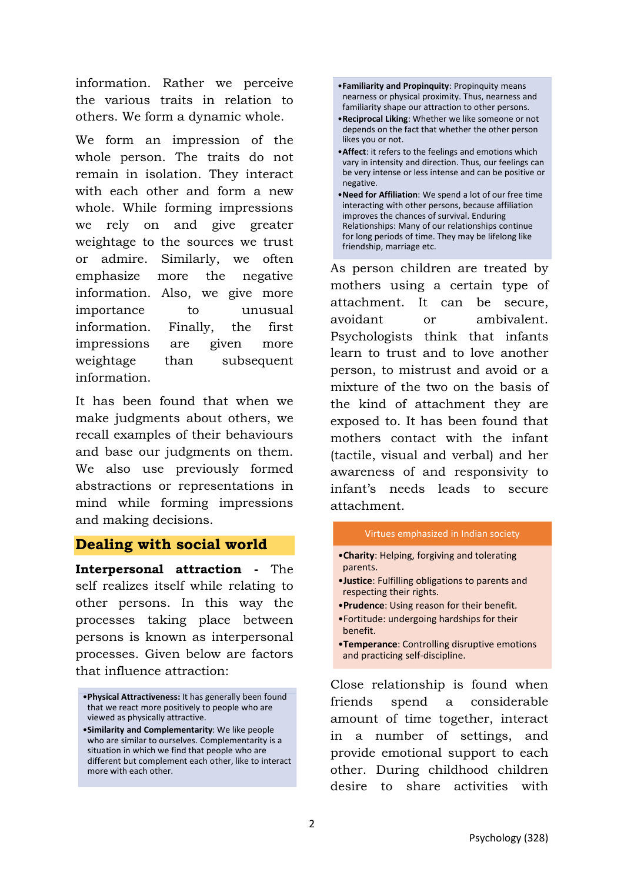information. Rather we perceive the various traits in relation to others. We form a dynamic whole.

We form an impression of the whole person. The traits do not remain in isolation. They interact with each other and form a new whole. While forming impressions we rely on and give greater weightage to the sources we trust or admire. Similarly, we often emphasize more the negative information. Also, we give more importance to unusual information. Finally, the first impressions are given more weightage than subsequent information.

It has been found that when we make judgments about others, we recall examples of their behaviours and base our judgments on them. We also use previously formed abstractions or representations in mind while forming impressions and making decisions.

#### **Dealing with social world**

**Interpersonal attraction -** The self realizes itself while relating to other persons. In this way the processes taking place between persons is known as interpersonal processes. Given below are factors that influence attraction:

- •**Physical Attractiveness:** It has generally been found that we react more positively to people who are viewed as physically attractive.
- •**Similarity and Complementarity**: We like people who are similar to ourselves. Complementarity is a situation in which we find that people who are different but complement each other, like to interact more with each other.
- •**Familiarity and Propinquity**: Propinquity means nearness or physical proximity. Thus, nearness and familiarity shape our attraction to other persons.
- •**Reciprocal Liking**: Whether we like someone or not depends on the fact that whether the other person likes you or not.
- •**Affect**: it refers to the feelings and emotions which vary in intensity and direction. Thus, our feelings can be very intense or less intense and can be positive or negative.
- •**Need for Affiliation**: We spend a lot of our free time interacting with other persons, because affiliation improves the chances of survival. Enduring Relationships: Many of our relationships continue for long periods of time. They may be lifelong like friendship, marriage etc.

As person children are treated by mothers using a certain type of attachment. It can be secure, avoidant or ambivalent. Psychologists think that infants learn to trust and to love another person, to mistrust and avoid or a mixture of the two on the basis of the kind of attachment they are exposed to. It has been found that mothers contact with the infant (tactile, visual and verbal) and her awareness of and responsivity to infant's needs leads to secure attachment.

#### Virtues emphasized in Indian society

- •**Charity**: Helping, forgiving and tolerating parents.
- •**Justice**: Fulfilling obligations to parents and respecting their rights.
- •**Prudence**: Using reason for their benefit.
- •Fortitude: undergoing hardships for their benefit.
- •**Temperance**: Controlling disruptive emotions and practicing self-discipline.

Close relationship is found when friends spend a considerable amount of time together, interact in a number of settings, and provide emotional support to each other. During childhood children desire to share activities with